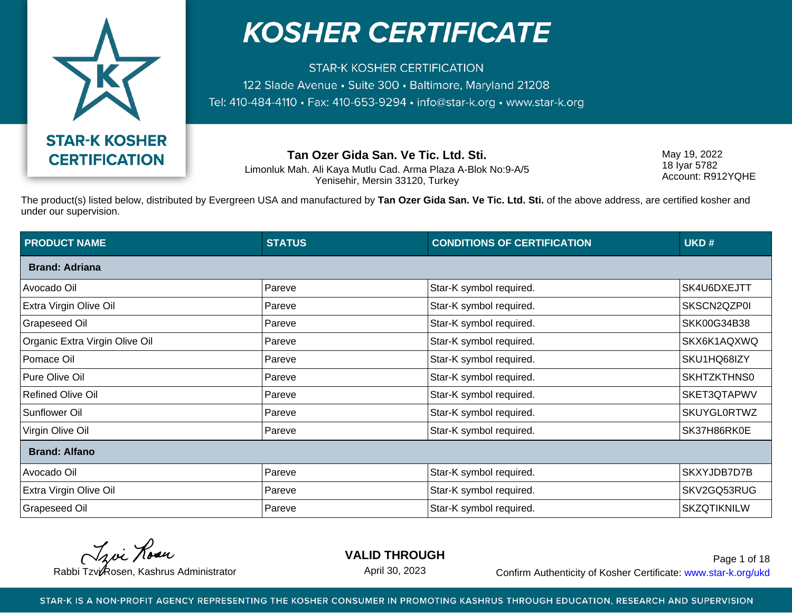

**STAR-K KOSHER CERTIFICATION** 122 Slade Avenue · Suite 300 · Baltimore, Maryland 21208 Tel: 410-484-4110 · Fax: 410-653-9294 · info@star-k.org · www.star-k.org

**Tan Ozer Gida San. Ve Tic. Ltd. Sti.**

Limonluk Mah. Ali Kaya Mutlu Cad. Arma Plaza A-Blok No:9-A/5 Yenisehir, Mersin 33120, Turkey

May 19, 2022 18 Iyar 5782 Account: R912YQHE

The product(s) listed below, distributed by Evergreen USA and manufactured by **Tan Ozer Gida San. Ve Tic. Ltd. Sti.** of the above address, are certified kosher and under our supervision.

| <b>PRODUCT NAME</b>            | <b>STATUS</b> | <b>CONDITIONS OF CERTIFICATION</b> | UKD#               |
|--------------------------------|---------------|------------------------------------|--------------------|
| <b>Brand: Adriana</b>          |               |                                    |                    |
| Avocado Oil                    | Pareve        | Star-K symbol required.            | SK4U6DXEJTT        |
| Extra Virgin Olive Oil         | Pareve        | Star-K symbol required.            | SKSCN2QZP0I        |
| Grapeseed Oil                  | Pareve        | Star-K symbol required.            | SKK00G34B38        |
| Organic Extra Virgin Olive Oil | Pareve        | Star-K symbol required.            | SKX6K1AQXWQ        |
| Pomace Oil                     | Pareve        | Star-K symbol required.            | SKU1HQ68IZY        |
| Pure Olive Oil                 | Pareve        | Star-K symbol required.            | SKHTZKTHNS0        |
| <b>Refined Olive Oil</b>       | Pareve        | Star-K symbol required.            | SKET3QTAPWV        |
| Sunflower Oil                  | Pareve        | Star-K symbol required.            | <b>SKUYGL0RTWZ</b> |
| Virgin Olive Oil               | Pareve        | Star-K symbol required.            | SK37H86RK0E        |
| <b>Brand: Alfano</b>           |               |                                    |                    |
| Avocado Oil                    | Pareve        | Star-K symbol required.            | SKXYJDB7D7B        |
| Extra Virgin Olive Oil         | Pareve        | Star-K symbol required.            | SKV2GQ53RUG        |
| <b>Grapeseed Oil</b>           | Pareve        | Star-K symbol required.            | <b>SKZQTIKNILW</b> |

Troi Rose

**VALID THROUGH**

April 30, 2023

Rabbi Tzvi Rosen, Kashrus Administrator **Confirm Authenticity of Kosher Certificate:** www.star-k.org/ukd Page 1 of 18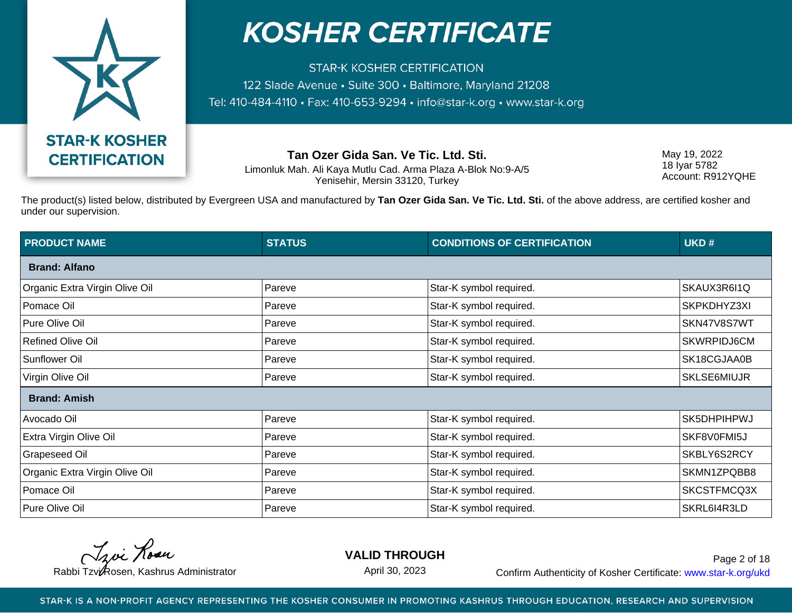

**STAR-K KOSHER CERTIFICATION** 122 Slade Avenue · Suite 300 · Baltimore, Maryland 21208 Tel: 410-484-4110 · Fax: 410-653-9294 · info@star-k.org · www.star-k.org

**Tan Ozer Gida San. Ve Tic. Ltd. Sti.**

Limonluk Mah. Ali Kaya Mutlu Cad. Arma Plaza A-Blok No:9-A/5 Yenisehir, Mersin 33120, Turkey

May 19, 2022 18 Iyar 5782 Account: R912YQHE

The product(s) listed below, distributed by Evergreen USA and manufactured by **Tan Ozer Gida San. Ve Tic. Ltd. Sti.** of the above address, are certified kosher and under our supervision.

| <b>PRODUCT NAME</b>            | <b>STATUS</b> | <b>CONDITIONS OF CERTIFICATION</b> | UKD#               |
|--------------------------------|---------------|------------------------------------|--------------------|
| <b>Brand: Alfano</b>           |               |                                    |                    |
| Organic Extra Virgin Olive Oil | Pareve        | Star-K symbol required.            | SKAUX3R6I1Q        |
| Pomace Oil                     | Pareve        | Star-K symbol required.            | SKPKDHYZ3XI        |
| Pure Olive Oil                 | Pareve        | Star-K symbol required.            | SKN47V8S7WT        |
| <b>Refined Olive Oil</b>       | Pareve        | Star-K symbol required.            | SKWRPIDJ6CM        |
| <b>Sunflower Oil</b>           | Pareve        | Star-K symbol required.            | SK18CGJAA0B        |
| Virgin Olive Oil               | Pareve        | Star-K symbol required.            | <b>SKLSE6MIUJR</b> |
| <b>Brand: Amish</b>            |               |                                    |                    |
| Avocado Oil                    | Pareve        | Star-K symbol required.            | SK5DHPIHPWJ        |
| <b>Extra Virgin Olive Oil</b>  | Pareve        | Star-K symbol required.            | SKF8V0FMI5J        |
| <b>Grapeseed Oil</b>           | Pareve        | Star-K symbol required.            | SKBLY6S2RCY        |
| Organic Extra Virgin Olive Oil | Pareve        | Star-K symbol required.            | SKMN1ZPQBB8        |
| Pomace Oil                     | Pareve        | Star-K symbol required.            | SKCSTFMCQ3X        |
| Pure Olive Oil                 | Pareve        | Star-K symbol required.            | SKRL6I4R3LD        |

Troi Rose

**VALID THROUGH**

April 30, 2023

Rabbi Tzvi Rosen, Kashrus Administrator **Confirm Authenticity of Kosher Certificate:** www.star-k.org/ukd Page 2 of 18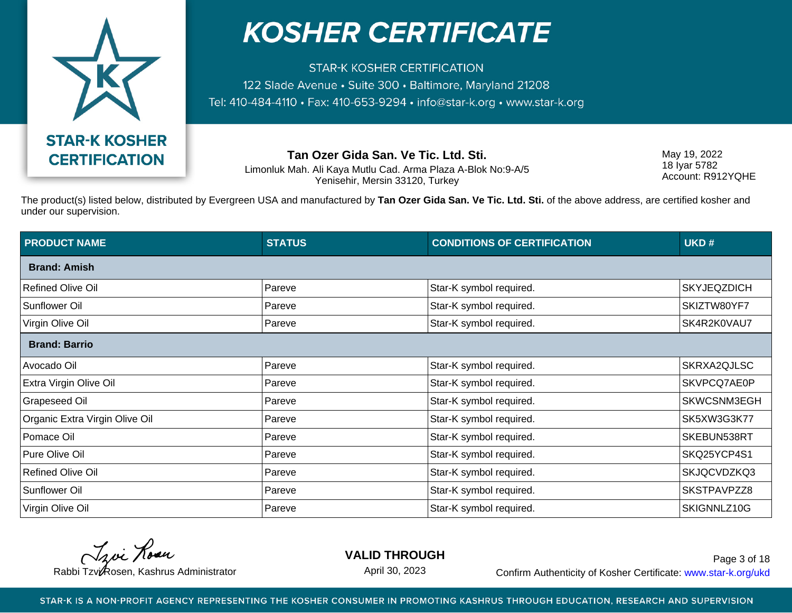

**STAR-K KOSHER CERTIFICATION** 122 Slade Avenue · Suite 300 · Baltimore, Maryland 21208 Tel: 410-484-4110 · Fax: 410-653-9294 · info@star-k.org · www.star-k.org

**Tan Ozer Gida San. Ve Tic. Ltd. Sti.**

Limonluk Mah. Ali Kaya Mutlu Cad. Arma Plaza A-Blok No:9-A/5 Yenisehir, Mersin 33120, Turkey

May 19, 2022 18 Iyar 5782 Account: R912YQHE

The product(s) listed below, distributed by Evergreen USA and manufactured by **Tan Ozer Gida San. Ve Tic. Ltd. Sti.** of the above address, are certified kosher and under our supervision.

| <b>PRODUCT NAME</b>            | <b>STATUS</b> | <b>CONDITIONS OF CERTIFICATION</b> | UKD#               |
|--------------------------------|---------------|------------------------------------|--------------------|
| <b>Brand: Amish</b>            |               |                                    |                    |
| <b>Refined Olive Oil</b>       | Pareve        | Star-K symbol required.            | <b>SKYJEQZDICH</b> |
| Sunflower Oil                  | Pareve        | Star-K symbol required.            | SKIZTW80YF7        |
| Virgin Olive Oil               | Pareve        | Star-K symbol required.            | SK4R2K0VAU7        |
| <b>Brand: Barrio</b>           |               |                                    |                    |
| Avocado Oil                    | Pareve        | Star-K symbol required.            | SKRXA2QJLSC        |
| Extra Virgin Olive Oil         | Pareve        | Star-K symbol required.            | SKVPCQ7AE0P        |
| <b>Grapeseed Oil</b>           | Pareve        | Star-K symbol required.            | SKWCSNM3EGH        |
| Organic Extra Virgin Olive Oil | Pareve        | Star-K symbol required.            | SK5XW3G3K77        |
| Pomace Oil                     | Pareve        | Star-K symbol required.            | SKEBUN538RT        |
| Pure Olive Oil                 | Pareve        | Star-K symbol required.            | SKQ25YCP4S1        |
| <b>Refined Olive Oil</b>       | Pareve        | Star-K symbol required.            | SKJQCVDZKQ3        |
| Sunflower Oil                  | Pareve        | Star-K symbol required.            | SKSTPAVPZZ8        |
| Virgin Olive Oil               | Pareve        | Star-K symbol required.            | SKIGNNLZ10G        |

Troi Rose

**VALID THROUGH**

April 30, 2023

Rabbi Tzvi Rosen, Kashrus Administrator **Confirm Authenticity of Kosher Certificate:** www.star-k.org/ukd Page 3 of 18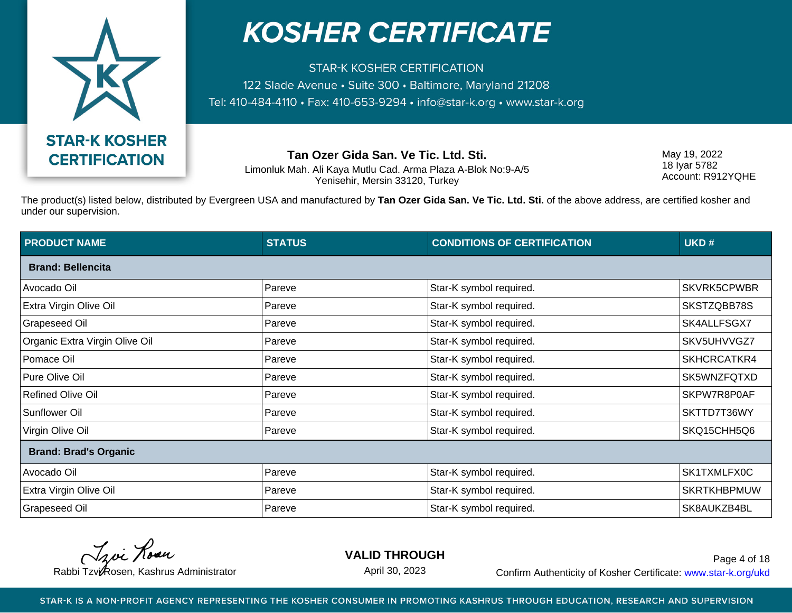

**STAR-K KOSHER CERTIFICATION** 122 Slade Avenue · Suite 300 · Baltimore, Maryland 21208 Tel: 410-484-4110 · Fax: 410-653-9294 · info@star-k.org · www.star-k.org

**Tan Ozer Gida San. Ve Tic. Ltd. Sti.**

Limonluk Mah. Ali Kaya Mutlu Cad. Arma Plaza A-Blok No:9-A/5 Yenisehir, Mersin 33120, Turkey

May 19, 2022 18 Iyar 5782 Account: R912YQHE

The product(s) listed below, distributed by Evergreen USA and manufactured by **Tan Ozer Gida San. Ve Tic. Ltd. Sti.** of the above address, are certified kosher and under our supervision.

| <b>PRODUCT NAME</b>            | <b>STATUS</b> | <b>CONDITIONS OF CERTIFICATION</b> | UKD#               |
|--------------------------------|---------------|------------------------------------|--------------------|
| <b>Brand: Bellencita</b>       |               |                                    |                    |
| Avocado Oil                    | Pareve        | Star-K symbol required.            | SKVRK5CPWBR        |
| Extra Virgin Olive Oil         | Pareve        | Star-K symbol required.            | SKSTZQBB78S        |
| <b>Grapeseed Oil</b>           | Pareve        | Star-K symbol required.            | SK4ALLFSGX7        |
| Organic Extra Virgin Olive Oil | Pareve        | Star-K symbol required.            | SKV5UHVVGZ7        |
| Pomace Oil                     | Pareve        | Star-K symbol required.            | SKHCRCATKR4        |
| Pure Olive Oil                 | Pareve        | Star-K symbol required.            | SK5WNZFQTXD        |
| <b>Refined Olive Oil</b>       | Pareve        | Star-K symbol required.            | SKPW7R8P0AF        |
| Sunflower Oil                  | Pareve        | Star-K symbol required.            | SKTTD7T36WY        |
| Virgin Olive Oil               | Pareve        | Star-K symbol required.            | SKQ15CHH5Q6        |
| <b>Brand: Brad's Organic</b>   |               |                                    |                    |
| Avocado Oil                    | Pareve        | Star-K symbol required.            | SK1TXMLFX0C        |
| Extra Virgin Olive Oil         | Pareve        | Star-K symbol required.            | <b>SKRTKHBPMUW</b> |
| <b>Grapeseed Oil</b>           | Pareve        | Star-K symbol required.            | SK8AUKZB4BL        |

Troi Rose

**VALID THROUGH**

April 30, 2023

Rabbi Tzvi Rosen, Kashrus Administrator **Confirm Authenticity of Kosher Certificate:** www.star-k.org/ukd Page 4 of 18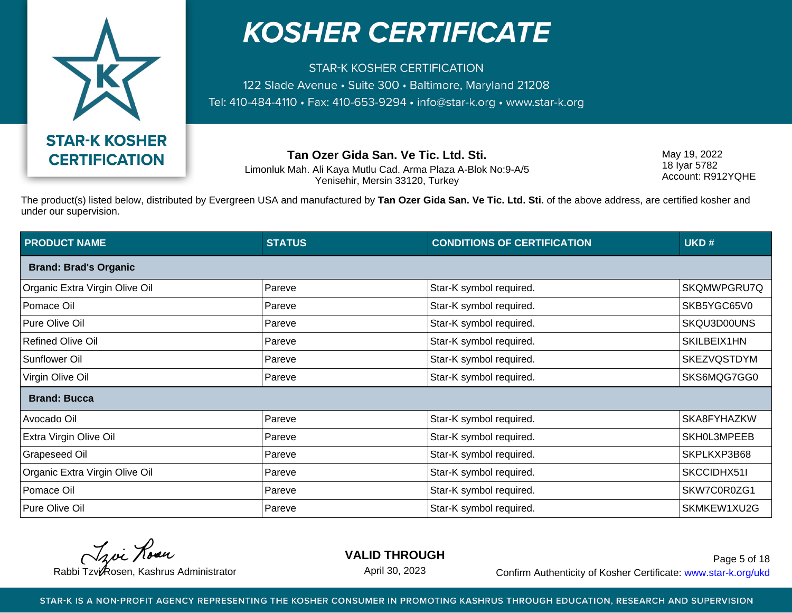

**STAR-K KOSHER CERTIFICATION** 122 Slade Avenue · Suite 300 · Baltimore, Maryland 21208 Tel: 410-484-4110 · Fax: 410-653-9294 · info@star-k.org · www.star-k.org

**Tan Ozer Gida San. Ve Tic. Ltd. Sti.**

Limonluk Mah. Ali Kaya Mutlu Cad. Arma Plaza A-Blok No:9-A/5 Yenisehir, Mersin 33120, Turkey

May 19, 2022 18 Iyar 5782 Account: R912YQHE

The product(s) listed below, distributed by Evergreen USA and manufactured by **Tan Ozer Gida San. Ve Tic. Ltd. Sti.** of the above address, are certified kosher and under our supervision.

| <b>PRODUCT NAME</b>            | <b>STATUS</b> | <b>CONDITIONS OF CERTIFICATION</b> | UKD#               |
|--------------------------------|---------------|------------------------------------|--------------------|
| <b>Brand: Brad's Organic</b>   |               |                                    |                    |
| Organic Extra Virgin Olive Oil | Pareve        | Star-K symbol required.            | SKQMWPGRU7Q        |
| Pomace Oil                     | Pareve        | Star-K symbol required.            | SKB5YGC65V0        |
| Pure Olive Oil                 | Pareve        | Star-K symbol required.            | SKQU3D00UNS        |
| <b>Refined Olive Oil</b>       | Pareve        | Star-K symbol required.            | SKILBEIX1HN        |
| <b>Sunflower Oil</b>           | Pareve        | Star-K symbol required.            | <b>SKEZVQSTDYM</b> |
| Virgin Olive Oil               | Pareve        | Star-K symbol required.            | SKS6MQG7GG0        |
| <b>Brand: Bucca</b>            |               |                                    |                    |
| Avocado Oil                    | Pareve        | Star-K symbol required.            | SKA8FYHAZKW        |
| Extra Virgin Olive Oil         | Pareve        | Star-K symbol required.            | SKH0L3MPEEB        |
| <b>Grapeseed Oil</b>           | Pareve        | Star-K symbol required.            | SKPLKXP3B68        |
| Organic Extra Virgin Olive Oil | Pareve        | Star-K symbol required.            | SKCCIDHX51I        |
| Pomace Oil                     | Pareve        | Star-K symbol required.            | SKW7C0R0ZG1        |
| Pure Olive Oil                 | Pareve        | Star-K symbol required.            | SKMKEW1XU2G        |

Troi Rose

**VALID THROUGH**

April 30, 2023

Rabbi Tzvi Rosen, Kashrus Administrator **Confirm Authenticity of Kosher Certificate:** www.star-k.org/ukd Page 5 of 18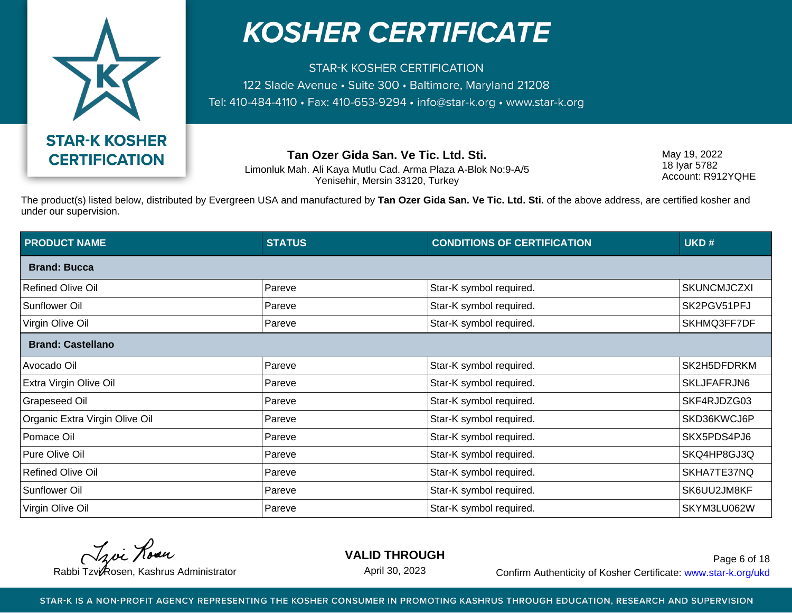

**STAR-K KOSHER CERTIFICATION** 122 Slade Avenue · Suite 300 · Baltimore, Maryland 21208 Tel: 410-484-4110 · Fax: 410-653-9294 · info@star-k.org · www.star-k.org

**Tan Ozer Gida San. Ve Tic. Ltd. Sti.**

Limonluk Mah. Ali Kaya Mutlu Cad. Arma Plaza A-Blok No:9-A/5 Yenisehir, Mersin 33120, Turkey

May 19, 2022 18 Iyar 5782 Account: R912YQHE

The product(s) listed below, distributed by Evergreen USA and manufactured by **Tan Ozer Gida San. Ve Tic. Ltd. Sti.** of the above address, are certified kosher and under our supervision.

| <b>PRODUCT NAME</b>            | <b>STATUS</b> | <b>CONDITIONS OF CERTIFICATION</b> | UKD#               |
|--------------------------------|---------------|------------------------------------|--------------------|
| <b>Brand: Bucca</b>            |               |                                    |                    |
| <b>Refined Olive Oil</b>       | Pareve        | Star-K symbol required.            | <b>SKUNCMJCZXI</b> |
| <b>Sunflower Oil</b>           | Pareve        | Star-K symbol required.            | SK2PGV51PFJ        |
| Virgin Olive Oil               | Pareve        | Star-K symbol required.            | SKHMQ3FF7DF        |
| <b>Brand: Castellano</b>       |               |                                    |                    |
| Avocado Oil                    | Pareve        | Star-K symbol required.            | SK2H5DFDRKM        |
| Extra Virgin Olive Oil         | Pareve        | Star-K symbol required.            | SKLJFAFRJN6        |
| <b>Grapeseed Oil</b>           | Pareve        | Star-K symbol required.            | SKF4RJDZG03        |
| Organic Extra Virgin Olive Oil | Pareve        | Star-K symbol required.            | SKD36KWCJ6P        |
| Pomace Oil                     | Pareve        | Star-K symbol required.            | SKX5PDS4PJ6        |
| Pure Olive Oil                 | Pareve        | Star-K symbol required.            | SKQ4HP8GJ3Q        |
| <b>Refined Olive Oil</b>       | Pareve        | Star-K symbol required.            | SKHA7TE37NQ        |
| <b>Sunflower Oil</b>           | Pareve        | Star-K symbol required.            | SK6UU2JM8KF        |
| Virgin Olive Oil               | Pareve        | Star-K symbol required.            | SKYM3LU062W        |

Troi Rose

**VALID THROUGH**

April 30, 2023

Rabbi Tzvi Rosen, Kashrus Administrator **Confirm Authenticity of Kosher Certificate:** www.star-k.org/ukd Page 6 of 18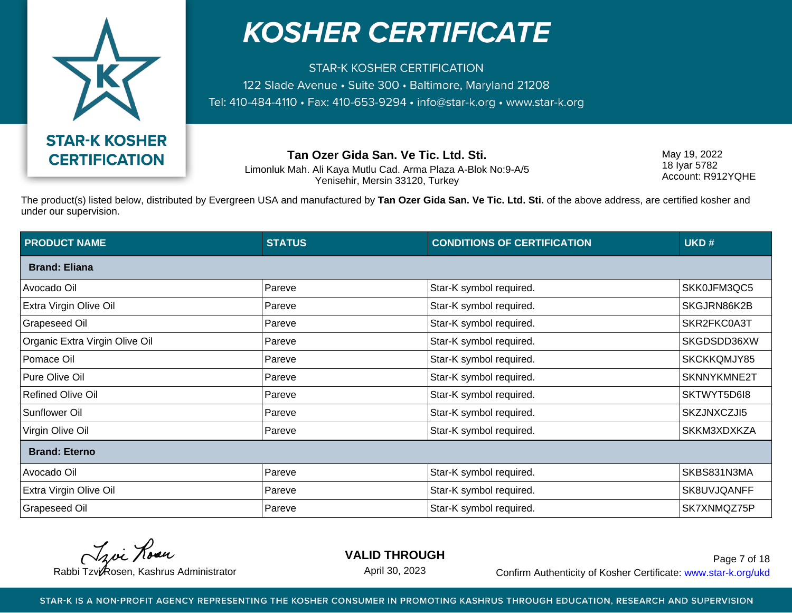

**STAR-K KOSHER CERTIFICATION** 122 Slade Avenue · Suite 300 · Baltimore, Maryland 21208 Tel: 410-484-4110 · Fax: 410-653-9294 · info@star-k.org · www.star-k.org

**Tan Ozer Gida San. Ve Tic. Ltd. Sti.**

Limonluk Mah. Ali Kaya Mutlu Cad. Arma Plaza A-Blok No:9-A/5 Yenisehir, Mersin 33120, Turkey

May 19, 2022 18 Iyar 5782 Account: R912YQHE

The product(s) listed below, distributed by Evergreen USA and manufactured by **Tan Ozer Gida San. Ve Tic. Ltd. Sti.** of the above address, are certified kosher and under our supervision.

| <b>PRODUCT NAME</b>            | <b>STATUS</b> | <b>CONDITIONS OF CERTIFICATION</b> | UKD#        |
|--------------------------------|---------------|------------------------------------|-------------|
| <b>Brand: Eliana</b>           |               |                                    |             |
| Avocado Oil                    | Pareve        | Star-K symbol required.            | SKK0JFM3QC5 |
| Extra Virgin Olive Oil         | Pareve        | Star-K symbol required.            | SKGJRN86K2B |
| Grapeseed Oil                  | Pareve        | Star-K symbol required.            | SKR2FKC0A3T |
| Organic Extra Virgin Olive Oil | Pareve        | Star-K symbol required.            | SKGDSDD36XW |
| Pomace Oil                     | Pareve        | Star-K symbol required.            | SKCKKQMJY85 |
| Pure Olive Oil                 | Pareve        | Star-K symbol required.            | SKNNYKMNE2T |
| <b>Refined Olive Oil</b>       | Pareve        | Star-K symbol required.            | SKTWYT5D6I8 |
| Sunflower Oil                  | Pareve        | Star-K symbol required.            | SKZJNXCZJI5 |
| Virgin Olive Oil               | Pareve        | Star-K symbol required.            | SKKM3XDXKZA |
| <b>Brand: Eterno</b>           |               |                                    |             |
| Avocado Oil                    | Pareve        | Star-K symbol required.            | SKBS831N3MA |
| Extra Virgin Olive Oil         | Pareve        | Star-K symbol required.            | SK8UVJQANFF |
| <b>Grapeseed Oil</b>           | Pareve        | Star-K symbol required.            | SK7XNMQZ75P |

Troi Rose

**VALID THROUGH**

April 30, 2023

Rabbi Tzvi Rosen, Kashrus Administrator **Confirm Authenticity of Kosher Certificate:** www.star-k.org/ukd Page 7 of 18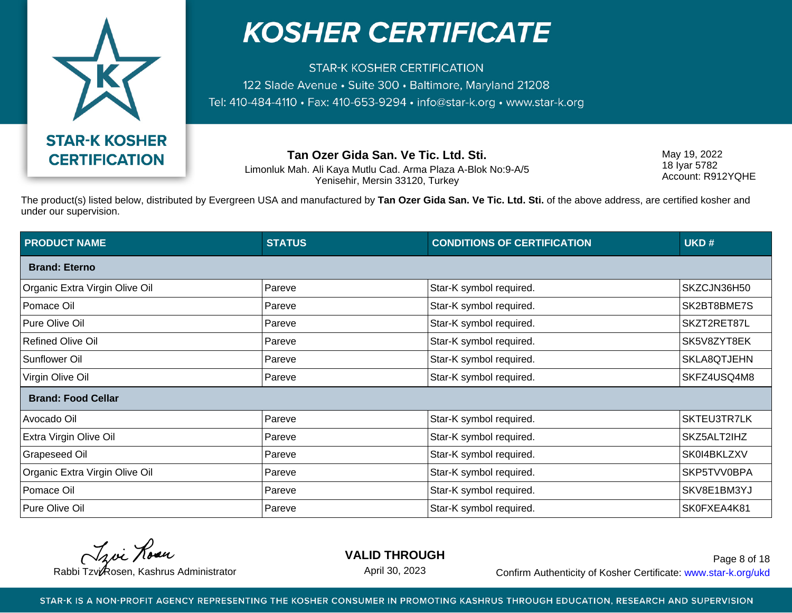

**STAR-K KOSHER CERTIFICATION** 122 Slade Avenue · Suite 300 · Baltimore, Maryland 21208 Tel: 410-484-4110 · Fax: 410-653-9294 · info@star-k.org · www.star-k.org

**Tan Ozer Gida San. Ve Tic. Ltd. Sti.**

Limonluk Mah. Ali Kaya Mutlu Cad. Arma Plaza A-Blok No:9-A/5 Yenisehir, Mersin 33120, Turkey

May 19, 2022 18 Iyar 5782 Account: R912YQHE

The product(s) listed below, distributed by Evergreen USA and manufactured by **Tan Ozer Gida San. Ve Tic. Ltd. Sti.** of the above address, are certified kosher and under our supervision.

| <b>PRODUCT NAME</b>            | <b>STATUS</b> | <b>CONDITIONS OF CERTIFICATION</b> | UKD#        |  |
|--------------------------------|---------------|------------------------------------|-------------|--|
| <b>Brand: Eterno</b>           |               |                                    |             |  |
| Organic Extra Virgin Olive Oil | Pareve        | Star-K symbol required.            | SKZCJN36H50 |  |
| Pomace Oil                     | Pareve        | Star-K symbol required.            | SK2BT8BME7S |  |
| Pure Olive Oil                 | Pareve        | Star-K symbol required.            | SKZT2RET87L |  |
| <b>Refined Olive Oil</b>       | Pareve        | Star-K symbol required.            | SK5V8ZYT8EK |  |
| <b>Sunflower Oil</b>           | Pareve        | Star-K symbol required.            | SKLA8QTJEHN |  |
| Virgin Olive Oil               | Pareve        | Star-K symbol required.            | SKFZ4USQ4M8 |  |
| <b>Brand: Food Cellar</b>      |               |                                    |             |  |
| Avocado Oil                    | Pareve        | Star-K symbol required.            | SKTEU3TR7LK |  |
| <b>Extra Virgin Olive Oil</b>  | Pareve        | Star-K symbol required.            | SKZ5ALT2IHZ |  |
| <b>Grapeseed Oil</b>           | Pareve        | Star-K symbol required.            | SK0I4BKLZXV |  |
| Organic Extra Virgin Olive Oil | Pareve        | Star-K symbol required.            | SKP5TVV0BPA |  |
| Pomace Oil                     | Pareve        | Star-K symbol required.            | SKV8E1BM3YJ |  |
| Pure Olive Oil                 | Pareve        | Star-K symbol required.            | SK0FXEA4K81 |  |

Troi Rose

**VALID THROUGH**

April 30, 2023

Rabbi Tzvi Rosen, Kashrus Administrator **Confirm Authenticity of Kosher Certificate:** www.star-k.org/ukd Page 8 of 18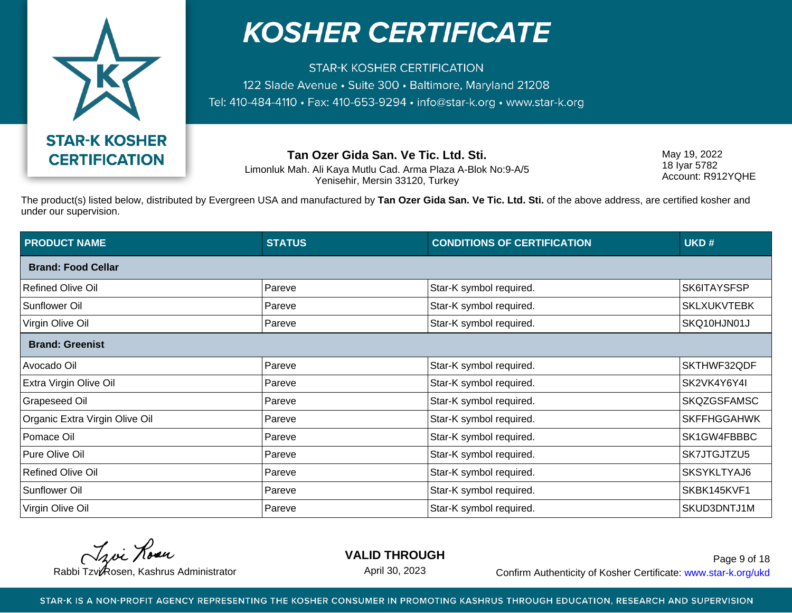

**STAR-K KOSHER CERTIFICATION** 122 Slade Avenue · Suite 300 · Baltimore, Maryland 21208 Tel: 410-484-4110 · Fax: 410-653-9294 · info@star-k.org · www.star-k.org

**Tan Ozer Gida San. Ve Tic. Ltd. Sti.**

Limonluk Mah. Ali Kaya Mutlu Cad. Arma Plaza A-Blok No:9-A/5 Yenisehir, Mersin 33120, Turkey

May 19, 2022 18 Iyar 5782 Account: R912YQHE

The product(s) listed below, distributed by Evergreen USA and manufactured by **Tan Ozer Gida San. Ve Tic. Ltd. Sti.** of the above address, are certified kosher and under our supervision.

| <b>PRODUCT NAME</b>            | <b>STATUS</b> | <b>CONDITIONS OF CERTIFICATION</b> | UKD#               |
|--------------------------------|---------------|------------------------------------|--------------------|
| <b>Brand: Food Cellar</b>      |               |                                    |                    |
| <b>Refined Olive Oil</b>       | Pareve        | Star-K symbol required.            | SK6ITAYSFSP        |
| <b>Sunflower Oil</b>           | Pareve        | Star-K symbol required.            | <b>SKLXUKVTEBK</b> |
| Virgin Olive Oil               | Pareve        | Star-K symbol required.            | SKQ10HJN01J        |
| <b>Brand: Greenist</b>         |               |                                    |                    |
| Avocado Oil                    | Pareve        | Star-K symbol required.            | SKTHWF32QDF        |
| Extra Virgin Olive Oil         | Pareve        | Star-K symbol required.            | SK2VK4Y6Y4I        |
| <b>Grapeseed Oil</b>           | Pareve        | Star-K symbol required.            | <b>SKQZGSFAMSC</b> |
| Organic Extra Virgin Olive Oil | Pareve        | Star-K symbol required.            | <b>SKFFHGGAHWK</b> |
| Pomace Oil                     | Pareve        | Star-K symbol required.            | SK1GW4FBBBC        |
| Pure Olive Oil                 | Pareve        | Star-K symbol required.            | SK7JTGJTZU5        |
| <b>Refined Olive Oil</b>       | Pareve        | Star-K symbol required.            | SKSYKLTYAJ6        |
| <b>Sunflower Oil</b>           | Pareve        | Star-K symbol required.            | SKBK145KVF1        |
| Virgin Olive Oil               | Pareve        | Star-K symbol required.            | SKUD3DNTJ1M        |

Troi Rose

**VALID THROUGH**

April 30, 2023

Rabbi Tzvi Rosen, Kashrus Administrator **Confirm Authenticity of Kosher Certificate:** www.star-k.org/ukd Page 9 of 18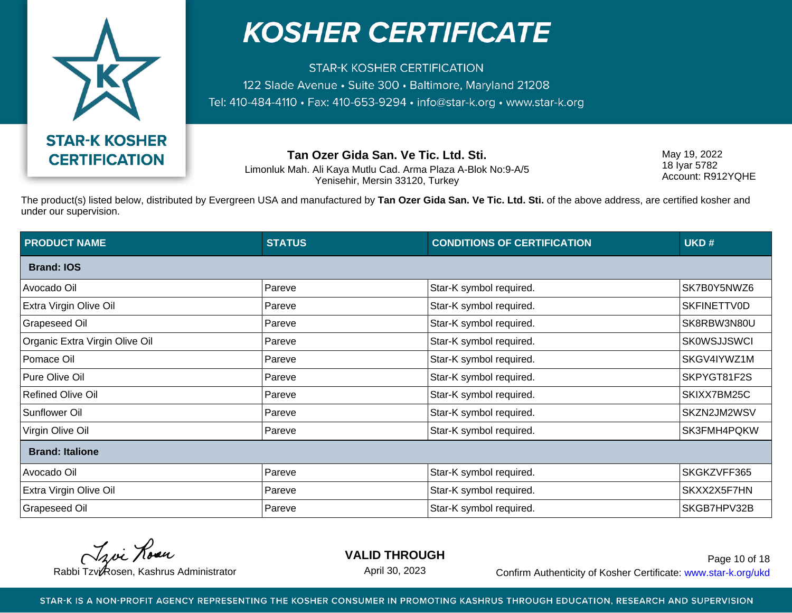

**STAR-K KOSHER CERTIFICATION** 122 Slade Avenue · Suite 300 · Baltimore, Maryland 21208 Tel: 410-484-4110 · Fax: 410-653-9294 · info@star-k.org · www.star-k.org

**Tan Ozer Gida San. Ve Tic. Ltd. Sti.**

Limonluk Mah. Ali Kaya Mutlu Cad. Arma Plaza A-Blok No:9-A/5 Yenisehir, Mersin 33120, Turkey

May 19, 2022 18 Iyar 5782 Account: R912YQHE

The product(s) listed below, distributed by Evergreen USA and manufactured by **Tan Ozer Gida San. Ve Tic. Ltd. Sti.** of the above address, are certified kosher and under our supervision.

| <b>PRODUCT NAME</b>            | <b>STATUS</b> | <b>CONDITIONS OF CERTIFICATION</b> | UKD#               |
|--------------------------------|---------------|------------------------------------|--------------------|
| <b>Brand: IOS</b>              |               |                                    |                    |
| Avocado Oil                    | Pareve        | Star-K symbol required.            | SK7B0Y5NWZ6        |
| Extra Virgin Olive Oil         | Pareve        | Star-K symbol required.            | <b>SKFINETTV0D</b> |
| Grapeseed Oil                  | Pareve        | Star-K symbol required.            | SK8RBW3N80U        |
| Organic Extra Virgin Olive Oil | Pareve        | Star-K symbol required.            | <b>SK0WSJJSWCI</b> |
| Pomace Oil                     | Pareve        | Star-K symbol required.            | SKGV4IYWZ1M        |
| Pure Olive Oil                 | Pareve        | Star-K symbol required.            | SKPYGT81F2S        |
| <b>Refined Olive Oil</b>       | Pareve        | Star-K symbol required.            | SKIXX7BM25C        |
| Sunflower Oil                  | Pareve        | Star-K symbol required.            | SKZN2JM2WSV        |
| Virgin Olive Oil               | Pareve        | Star-K symbol required.            | SK3FMH4PQKW        |
| <b>Brand: Italione</b>         |               |                                    |                    |
| Avocado Oil                    | Pareve        | Star-K symbol required.            | SKGKZVFF365        |
| Extra Virgin Olive Oil         | Pareve        | Star-K symbol required.            | SKXX2X5F7HN        |
| <b>Grapeseed Oil</b>           | Pareve        | Star-K symbol required.            | SKGB7HPV32B        |

Troi Rose

**VALID THROUGH**

April 30, 2023

Rabbi Tzvi Rosen, Kashrus Administrator **Confirm Authenticity of Kosher Certificate:** www.star-k.org/ukd Page 10 of 18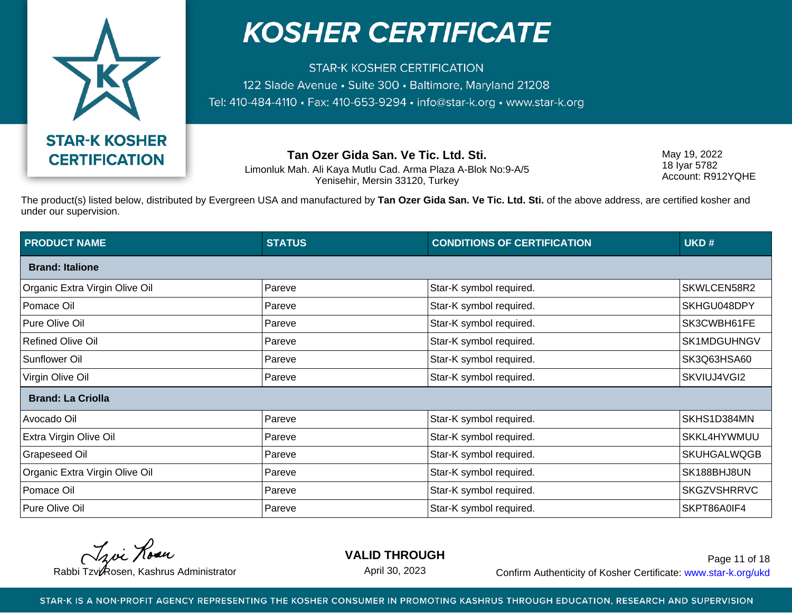

**STAR-K KOSHER CERTIFICATION** 122 Slade Avenue · Suite 300 · Baltimore, Maryland 21208 Tel: 410-484-4110 · Fax: 410-653-9294 · info@star-k.org · www.star-k.org

**Tan Ozer Gida San. Ve Tic. Ltd. Sti.**

Limonluk Mah. Ali Kaya Mutlu Cad. Arma Plaza A-Blok No:9-A/5 Yenisehir, Mersin 33120, Turkey

May 19, 2022 18 Iyar 5782 Account: R912YQHE

The product(s) listed below, distributed by Evergreen USA and manufactured by **Tan Ozer Gida San. Ve Tic. Ltd. Sti.** of the above address, are certified kosher and under our supervision.

| <b>PRODUCT NAME</b>            | <b>STATUS</b> | <b>CONDITIONS OF CERTIFICATION</b> | UKD#               |
|--------------------------------|---------------|------------------------------------|--------------------|
| <b>Brand: Italione</b>         |               |                                    |                    |
| Organic Extra Virgin Olive Oil | Pareve        | Star-K symbol required.            | SKWLCEN58R2        |
| Pomace Oil                     | Pareve        | Star-K symbol required.            | SKHGU048DPY        |
| Pure Olive Oil                 | Pareve        | Star-K symbol required.            | SK3CWBH61FE        |
| <b>Refined Olive Oil</b>       | Pareve        | Star-K symbol required.            | SK1MDGUHNGV        |
| Sunflower Oil                  | Pareve        | Star-K symbol required.            | SK3Q63HSA60        |
| Virgin Olive Oil               | Pareve        | Star-K symbol required.            | SKVIUJ4VGI2        |
| <b>Brand: La Criolla</b>       |               |                                    |                    |
| Avocado Oil                    | Pareve        | Star-K symbol required.            | SKHS1D384MN        |
| Extra Virgin Olive Oil         | Pareve        | Star-K symbol required.            | SKKL4HYWMUU        |
| <b>Grapeseed Oil</b>           | Pareve        | Star-K symbol required.            | <b>SKUHGALWQGB</b> |
| Organic Extra Virgin Olive Oil | Pareve        | Star-K symbol required.            | SK188BHJ8UN        |
| Pomace Oil                     | Pareve        | Star-K symbol required.            | <b>SKGZVSHRRVC</b> |
| Pure Olive Oil                 | Pareve        | Star-K symbol required.            | SKPT86A0IF4        |

Troi Rose

**VALID THROUGH**

April 30, 2023

Rabbi Tzvi Rosen, Kashrus Administrator **Confirm Authenticity of Kosher Certificate:** www.star-k.org/ukd Page 11 of 18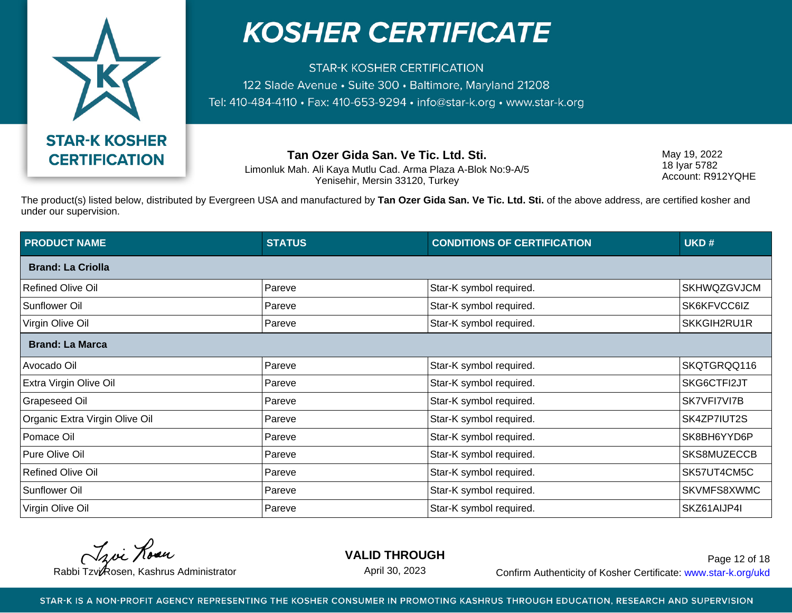

**STAR-K KOSHER CERTIFICATION** 122 Slade Avenue · Suite 300 · Baltimore, Maryland 21208 Tel: 410-484-4110 · Fax: 410-653-9294 · info@star-k.org · www.star-k.org

**Tan Ozer Gida San. Ve Tic. Ltd. Sti.**

Limonluk Mah. Ali Kaya Mutlu Cad. Arma Plaza A-Blok No:9-A/5 Yenisehir, Mersin 33120, Turkey

May 19, 2022 18 Iyar 5782 Account: R912YQHE

The product(s) listed below, distributed by Evergreen USA and manufactured by **Tan Ozer Gida San. Ve Tic. Ltd. Sti.** of the above address, are certified kosher and under our supervision.

| <b>PRODUCT NAME</b>            | <b>STATUS</b> | <b>CONDITIONS OF CERTIFICATION</b> | UKD#               |
|--------------------------------|---------------|------------------------------------|--------------------|
| <b>Brand: La Criolla</b>       |               |                                    |                    |
| <b>Refined Olive Oil</b>       | Pareve        | Star-K symbol required.            | <b>SKHWQZGVJCM</b> |
| Sunflower Oil                  | Pareve        | Star-K symbol required.            | SK6KFVCC6IZ        |
| Virgin Olive Oil               | Pareve        | Star-K symbol required.            | SKKGIH2RU1R        |
| <b>Brand: La Marca</b>         |               |                                    |                    |
| Avocado Oil                    | Pareve        | Star-K symbol required.            | SKQTGRQQ116        |
| Extra Virgin Olive Oil         | Pareve        | Star-K symbol required.            | SKG6CTFI2JT        |
| <b>Grapeseed Oil</b>           | Pareve        | Star-K symbol required.            | SK7VFI7VI7B        |
| Organic Extra Virgin Olive Oil | Pareve        | Star-K symbol required.            | SK4ZP7IUT2S        |
| Pomace Oil                     | Pareve        | Star-K symbol required.            | SK8BH6YYD6P        |
| Pure Olive Oil                 | Pareve        | Star-K symbol required.            | SKS8MUZECCB        |
| <b>Refined Olive Oil</b>       | Pareve        | Star-K symbol required.            | SK57UT4CM5C        |
| Sunflower Oil                  | Pareve        | Star-K symbol required.            | SKVMFS8XWMC        |
| Virgin Olive Oil               | Pareve        | Star-K symbol required.            | SKZ61AIJP4I        |

Troi Rose

**VALID THROUGH**

April 30, 2023

Rabbi Tzvi Rosen, Kashrus Administrator **Confirm Authenticity of Kosher Certificate:** www.star-k.org/ukd Page 12 of 18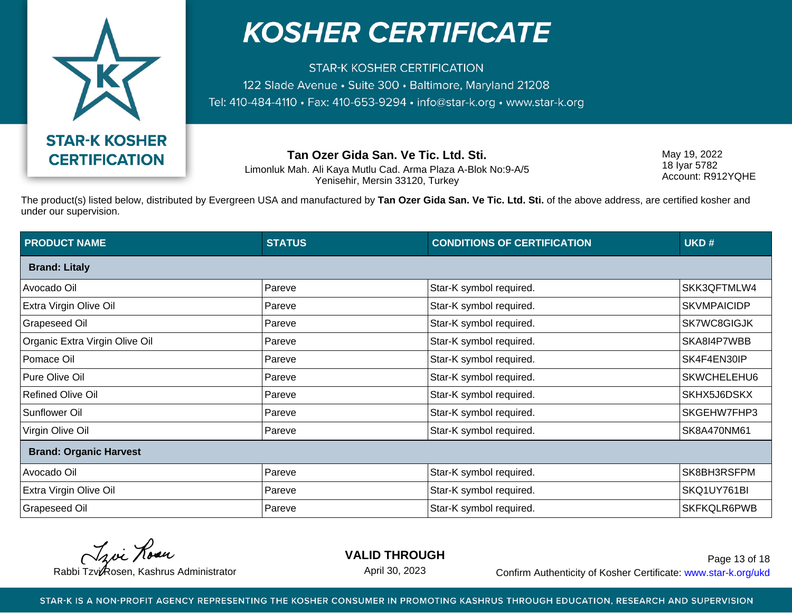

**STAR-K KOSHER CERTIFICATION** 122 Slade Avenue • Suite 300 • Baltimore, Maryland 21208 Tel: 410-484-4110 · Fax: 410-653-9294 · info@star-k.org · www.star-k.org

**Tan Ozer Gida San. Ve Tic. Ltd. Sti.**

Limonluk Mah. Ali Kaya Mutlu Cad. Arma Plaza A-Blok No:9-A/5 Yenisehir, Mersin 33120, Turkey

May 19, 2022 18 Iyar 5782 Account: R912YQHE

The product(s) listed below, distributed by Evergreen USA and manufactured by **Tan Ozer Gida San. Ve Tic. Ltd. Sti.** of the above address, are certified kosher and under our supervision.

| <b>PRODUCT NAME</b>            | <b>STATUS</b> | <b>CONDITIONS OF CERTIFICATION</b> | UKD#               |
|--------------------------------|---------------|------------------------------------|--------------------|
| <b>Brand: Litaly</b>           |               |                                    |                    |
| Avocado Oil                    | Pareve        | Star-K symbol required.            | SKK3QFTMLW4        |
| Extra Virgin Olive Oil         | Pareve        | Star-K symbol required.            | <b>SKVMPAICIDP</b> |
| <b>Grapeseed Oil</b>           | Pareve        | Star-K symbol required.            | SK7WC8GIGJK        |
| Organic Extra Virgin Olive Oil | Pareve        | Star-K symbol required.            | SKA8I4P7WBB        |
| Pomace Oil                     | Pareve        | Star-K symbol required.            | SK4F4EN30IP        |
| Pure Olive Oil                 | Pareve        | Star-K symbol required.            | SKWCHELEHU6        |
| <b>Refined Olive Oil</b>       | Pareve        | Star-K symbol required.            | SKHX5J6DSKX        |
| Sunflower Oil                  | Pareve        | Star-K symbol required.            | SKGEHW7FHP3        |
| Virgin Olive Oil               | Pareve        | Star-K symbol required.            | SK8A470NM61        |
| <b>Brand: Organic Harvest</b>  |               |                                    |                    |
| Avocado Oil                    | Pareve        | Star-K symbol required.            | SK8BH3RSFPM        |
| Extra Virgin Olive Oil         | Pareve        | Star-K symbol required.            | SKQ1UY761BI        |
| <b>Grapeseed Oil</b>           | Pareve        | Star-K symbol required.            | SKFKQLR6PWB        |

Troi Rose

**VALID THROUGH**

April 30, 2023

Rabbi Tzvi Rosen, Kashrus Administrator **Confirm Authenticity of Kosher Certificate:** www.star-k.org/ukd Page 13 of 18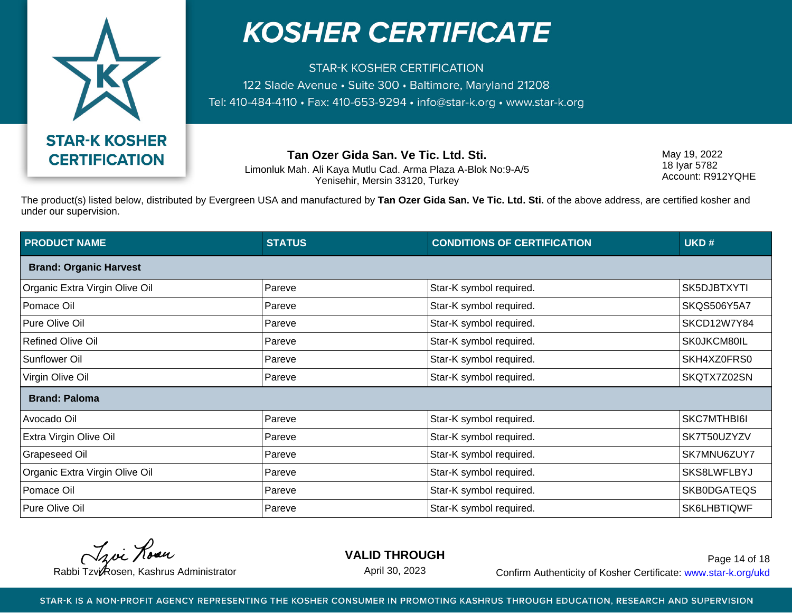

**STAR-K KOSHER CERTIFICATION** 122 Slade Avenue • Suite 300 • Baltimore, Maryland 21208 Tel: 410-484-4110 · Fax: 410-653-9294 · info@star-k.org · www.star-k.org

**Tan Ozer Gida San. Ve Tic. Ltd. Sti.**

Limonluk Mah. Ali Kaya Mutlu Cad. Arma Plaza A-Blok No:9-A/5 Yenisehir, Mersin 33120, Turkey

May 19, 2022 18 Iyar 5782 Account: R912YQHE

The product(s) listed below, distributed by Evergreen USA and manufactured by **Tan Ozer Gida San. Ve Tic. Ltd. Sti.** of the above address, are certified kosher and under our supervision.

| <b>PRODUCT NAME</b>            | <b>STATUS</b> | <b>CONDITIONS OF CERTIFICATION</b> | UKD#               |
|--------------------------------|---------------|------------------------------------|--------------------|
| <b>Brand: Organic Harvest</b>  |               |                                    |                    |
| Organic Extra Virgin Olive Oil | Pareve        | Star-K symbol required.            | SK5DJBTXYTI        |
| Pomace Oil                     | Pareve        | Star-K symbol required.            | <b>SKQS506Y5A7</b> |
| Pure Olive Oil                 | Pareve        | Star-K symbol required.            | SKCD12W7Y84        |
| <b>Refined Olive Oil</b>       | Pareve        | Star-K symbol required.            | SK0JKCM80IL        |
| <b>Sunflower Oil</b>           | Pareve        | Star-K symbol required.            | SKH4XZ0FRS0        |
| Virgin Olive Oil               | Pareve        | Star-K symbol required.            | SKQTX7Z02SN        |
| <b>Brand: Paloma</b>           |               |                                    |                    |
| Avocado Oil                    | Pareve        | Star-K symbol required.            | SKC7MTHBI6I        |
| Extra Virgin Olive Oil         | Pareve        | Star-K symbol required.            | SK7T50UZYZV        |
| <b>Grapeseed Oil</b>           | Pareve        | Star-K symbol required.            | SK7MNU6ZUY7        |
| Organic Extra Virgin Olive Oil | Pareve        | Star-K symbol required.            | SKS8LWFLBYJ        |
| Pomace Oil                     | Pareve        | Star-K symbol required.            | SKB0DGATEQS        |
| Pure Olive Oil                 | Pareve        | Star-K symbol required.            | SK6LHBTIQWF        |

Troi Rose

**VALID THROUGH**

April 30, 2023

Rabbi Tzvi Rosen, Kashrus Administrator **Confirm Authenticity of Kosher Certificate:** www.star-k.org/ukd Page 14 of 18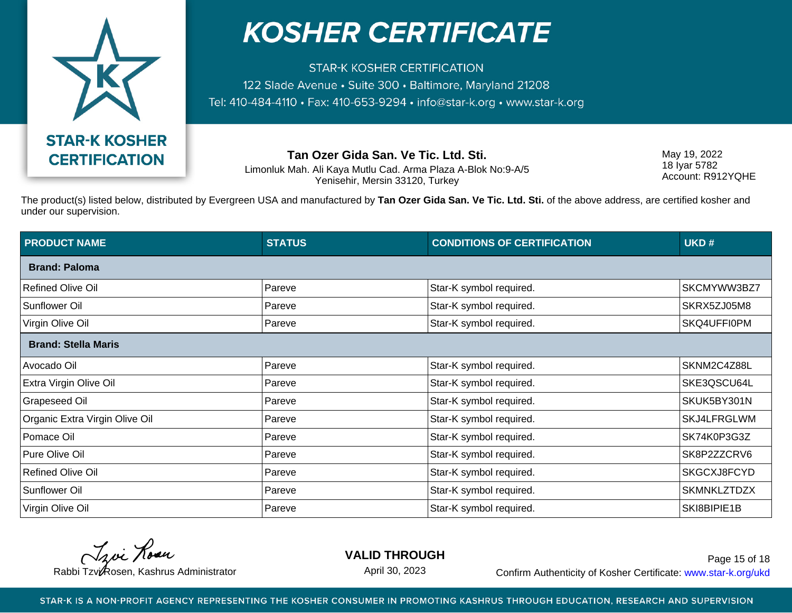

**STAR-K KOSHER CERTIFICATION** 122 Slade Avenue • Suite 300 • Baltimore, Maryland 21208 Tel: 410-484-4110 · Fax: 410-653-9294 · info@star-k.org · www.star-k.org

**Tan Ozer Gida San. Ve Tic. Ltd. Sti.**

Limonluk Mah. Ali Kaya Mutlu Cad. Arma Plaza A-Blok No:9-A/5 Yenisehir, Mersin 33120, Turkey

May 19, 2022 18 Iyar 5782 Account: R912YQHE

The product(s) listed below, distributed by Evergreen USA and manufactured by **Tan Ozer Gida San. Ve Tic. Ltd. Sti.** of the above address, are certified kosher and under our supervision.

| <b>PRODUCT NAME</b>            | <b>STATUS</b> | <b>CONDITIONS OF CERTIFICATION</b> | UKD#               |
|--------------------------------|---------------|------------------------------------|--------------------|
| <b>Brand: Paloma</b>           |               |                                    |                    |
| <b>Refined Olive Oil</b>       | Pareve        | Star-K symbol required.            | SKCMYWW3BZ7        |
| <b>Sunflower Oil</b>           | Pareve        | Star-K symbol required.            | SKRX5ZJ05M8        |
| Virgin Olive Oil               | Pareve        | Star-K symbol required.            | SKQ4UFFI0PM        |
| <b>Brand: Stella Maris</b>     |               |                                    |                    |
| Avocado Oil                    | Pareve        | Star-K symbol required.            | SKNM2C4Z88L        |
| Extra Virgin Olive Oil         | Pareve        | Star-K symbol required.            | SKE3QSCU64L        |
| <b>Grapeseed Oil</b>           | Pareve        | Star-K symbol required.            | SKUK5BY301N        |
| Organic Extra Virgin Olive Oil | Pareve        | Star-K symbol required.            | SKJ4LFRGLWM        |
| Pomace Oil                     | Pareve        | Star-K symbol required.            | SK74K0P3G3Z        |
| Pure Olive Oil                 | Pareve        | Star-K symbol required.            | SK8P2ZZCRV6        |
| <b>Refined Olive Oil</b>       | Pareve        | Star-K symbol required.            | SKGCXJ8FCYD        |
| <b>Sunflower Oil</b>           | Pareve        | Star-K symbol required.            | <b>SKMNKLZTDZX</b> |
| Virgin Olive Oil               | Pareve        | Star-K symbol required.            | SKI8BIPIE1B        |

Troi Rose

**VALID THROUGH**

April 30, 2023

Rabbi Tzvi Rosen, Kashrus Administrator **Confirm Authenticity of Kosher Certificate:** www.star-k.org/ukd Page 15 of 18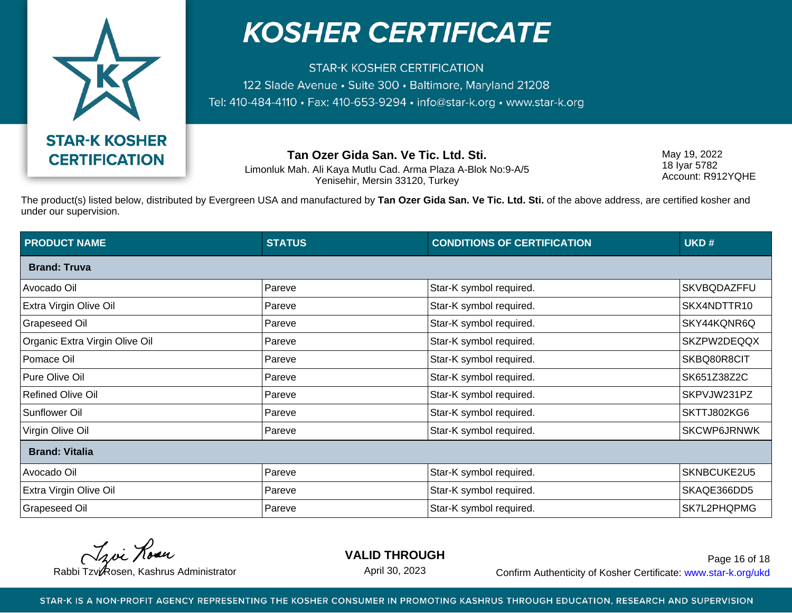

**STAR-K KOSHER CERTIFICATION** 122 Slade Avenue • Suite 300 • Baltimore, Maryland 21208 Tel: 410-484-4110 · Fax: 410-653-9294 · info@star-k.org · www.star-k.org

**Tan Ozer Gida San. Ve Tic. Ltd. Sti.**

Limonluk Mah. Ali Kaya Mutlu Cad. Arma Plaza A-Blok No:9-A/5 Yenisehir, Mersin 33120, Turkey

May 19, 2022 18 Iyar 5782 Account: R912YQHE

The product(s) listed below, distributed by Evergreen USA and manufactured by **Tan Ozer Gida San. Ve Tic. Ltd. Sti.** of the above address, are certified kosher and under our supervision.

| <b>PRODUCT NAME</b>            | <b>STATUS</b> | <b>CONDITIONS OF CERTIFICATION</b> | UKD#               |
|--------------------------------|---------------|------------------------------------|--------------------|
| <b>Brand: Truva</b>            |               |                                    |                    |
| Avocado Oil                    | Pareve        | Star-K symbol required.            | SKVBQDAZFFU        |
| Extra Virgin Olive Oil         | Pareve        | Star-K symbol required.            | SKX4NDTTR10        |
| Grapeseed Oil                  | Pareve        | Star-K symbol required.            | SKY44KQNR6Q        |
| Organic Extra Virgin Olive Oil | Pareve        | Star-K symbol required.            | SKZPW2DEQQX        |
| Pomace Oil                     | Pareve        | Star-K symbol required.            | SKBQ80R8CIT        |
| Pure Olive Oil                 | Pareve        | Star-K symbol required.            | SK651Z38Z2C        |
| <b>Refined Olive Oil</b>       | Pareve        | Star-K symbol required.            | SKPVJW231PZ        |
| Sunflower Oil                  | Pareve        | Star-K symbol required.            | SKTTJ802KG6        |
| Virgin Olive Oil               | Pareve        | Star-K symbol required.            | <b>SKCWP6JRNWK</b> |
| <b>Brand: Vitalia</b>          |               |                                    |                    |
| Avocado Oil                    | Pareve        | Star-K symbol required.            | SKNBCUKE2U5        |
| Extra Virgin Olive Oil         | Pareve        | Star-K symbol required.            | SKAQE366DD5        |
| <b>Grapeseed Oil</b>           | Pareve        | Star-K symbol required.            | SK7L2PHQPMG        |

Troi Rose

**VALID THROUGH**

April 30, 2023

Rabbi Tzvi Rosen, Kashrus Administrator **Confirm Authenticity of Kosher Certificate:** www.star-k.org/ukd Page 16 of 18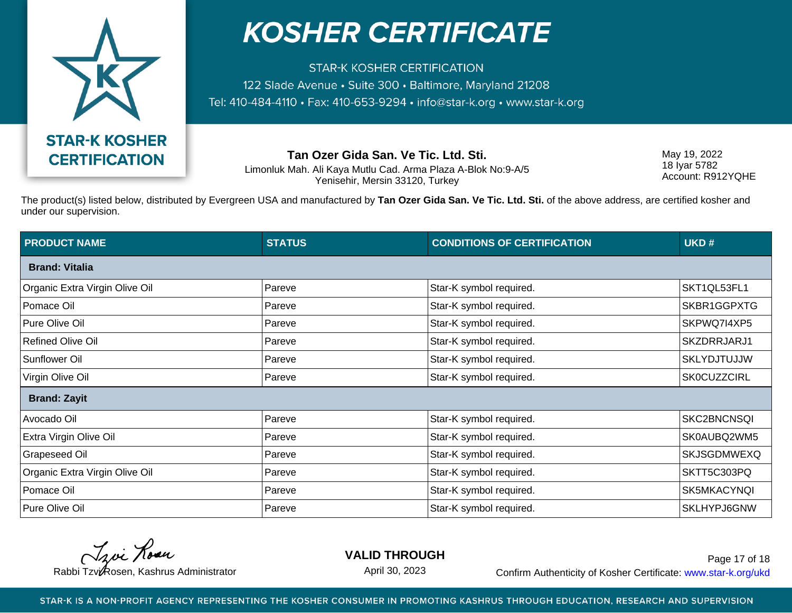

**STAR-K KOSHER CERTIFICATION** 122 Slade Avenue • Suite 300 • Baltimore, Maryland 21208 Tel: 410-484-4110 · Fax: 410-653-9294 · info@star-k.org · www.star-k.org

**Tan Ozer Gida San. Ve Tic. Ltd. Sti.**

Limonluk Mah. Ali Kaya Mutlu Cad. Arma Plaza A-Blok No:9-A/5 Yenisehir, Mersin 33120, Turkey

May 19, 2022 18 Iyar 5782 Account: R912YQHE

The product(s) listed below, distributed by Evergreen USA and manufactured by **Tan Ozer Gida San. Ve Tic. Ltd. Sti.** of the above address, are certified kosher and under our supervision.

| <b>PRODUCT NAME</b>            | <b>STATUS</b> | <b>CONDITIONS OF CERTIFICATION</b> | UKD#               |
|--------------------------------|---------------|------------------------------------|--------------------|
| <b>Brand: Vitalia</b>          |               |                                    |                    |
| Organic Extra Virgin Olive Oil | Pareve        | Star-K symbol required.            | SKT1QL53FL1        |
| Pomace Oil                     | Pareve        | Star-K symbol required.            | SKBR1GGPXTG        |
| Pure Olive Oil                 | Pareve        | Star-K symbol required.            | SKPWQ7I4XP5        |
| <b>Refined Olive Oil</b>       | Pareve        | Star-K symbol required.            | SKZDRRJARJ1        |
| <b>Sunflower Oil</b>           | Pareve        | Star-K symbol required.            | <b>SKLYDJTUJJW</b> |
| Virgin Olive Oil               | Pareve        | Star-K symbol required.            | <b>SK0CUZZCIRL</b> |
| <b>Brand: Zayit</b>            |               |                                    |                    |
| Avocado Oil                    | Pareve        | Star-K symbol required.            | SKC2BNCNSQI        |
| <b>Extra Virgin Olive Oil</b>  | Pareve        | Star-K symbol required.            | SK0AUBQ2WM5        |
| <b>Grapeseed Oil</b>           | Pareve        | Star-K symbol required.            | SKJSGDMWEXQ        |
| Organic Extra Virgin Olive Oil | Pareve        | Star-K symbol required.            | SKTT5C303PQ        |
| Pomace Oil                     | Pareve        | Star-K symbol required.            | SK5MKACYNQI        |
| Pure Olive Oil                 | Pareve        | Star-K symbol required.            | SKLHYPJ6GNW        |

Troi Rose

**VALID THROUGH**

April 30, 2023

Rabbi Tzvi Rosen, Kashrus Administrator **Confirm Authenticity of Kosher Certificate:** www.star-k.org/ukd Page 17 of 18